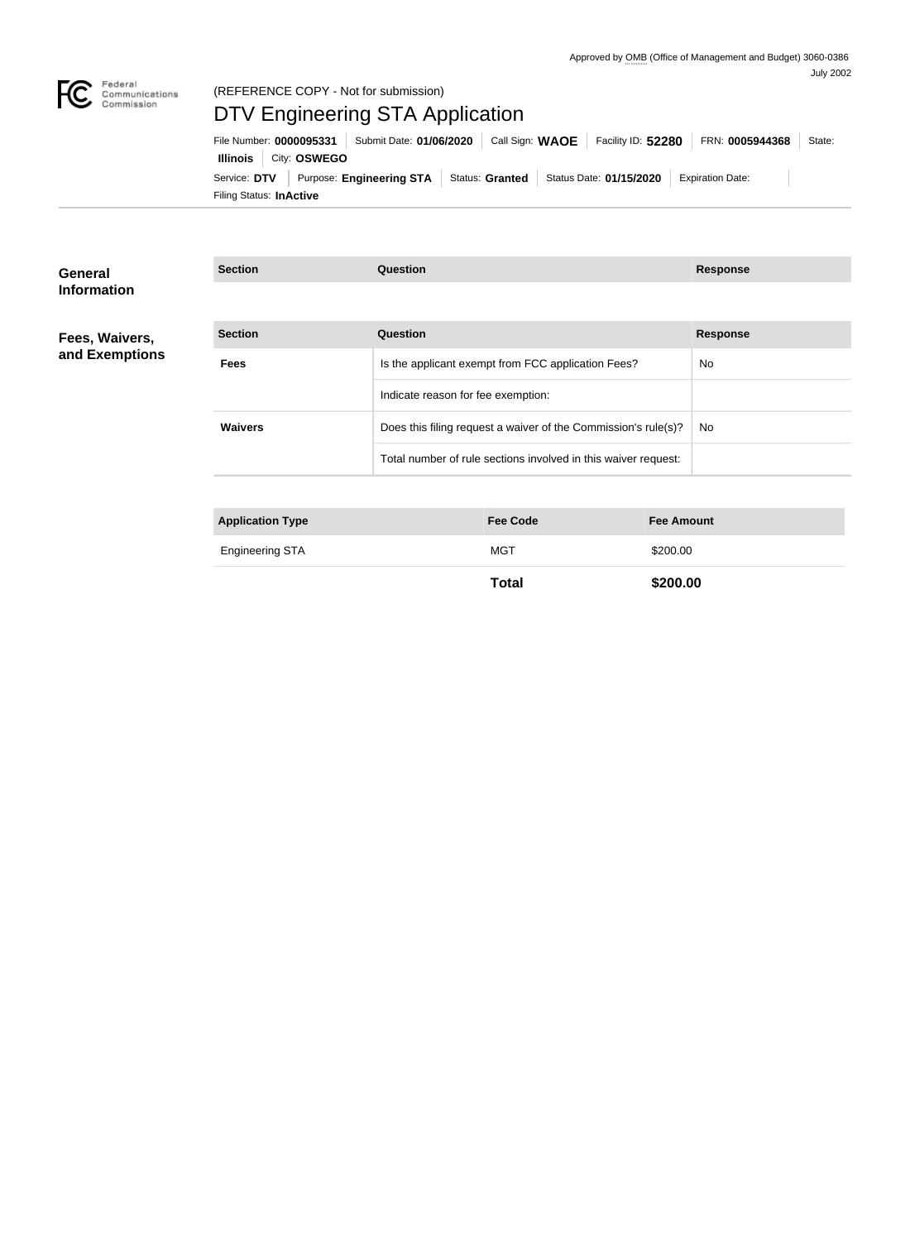

## Federal<br>Communications<br>Commission (REFERENCE COPY - Not for submission)

# DTV Engineering STA Application

Filing Status: **InActive** Service: DTV Purpose: Engineering STA Status: Granted Status Date: 01/15/2020 Expiration Date: **Illinois** City: **OSWEGO** File Number: **0000095331** Submit Date: **01/06/2020** Call Sign: WAOE Facility ID: 52280 FRN: 0005944368 State:

| General<br><b>Information</b>    | <b>Section</b>          | <b>Question</b>                                                |                   | <b>Response</b> |
|----------------------------------|-------------------------|----------------------------------------------------------------|-------------------|-----------------|
|                                  |                         |                                                                |                   |                 |
| Fees, Waivers,<br>and Exemptions | <b>Section</b>          | <b>Question</b>                                                |                   | <b>Response</b> |
|                                  | <b>Fees</b>             | Is the applicant exempt from FCC application Fees?             |                   | <b>No</b>       |
|                                  |                         | Indicate reason for fee exemption:                             |                   |                 |
|                                  | <b>Waivers</b>          | Does this filing request a waiver of the Commission's rule(s)? | No                |                 |
|                                  |                         | Total number of rule sections involved in this waiver request: |                   |                 |
|                                  |                         |                                                                |                   |                 |
|                                  | <b>Application Type</b> | <b>Fee Code</b>                                                | <b>Fee Amount</b> |                 |
|                                  | <b>Engineering STA</b>  | <b>MGT</b>                                                     | \$200.00          |                 |

**Total \$200.00**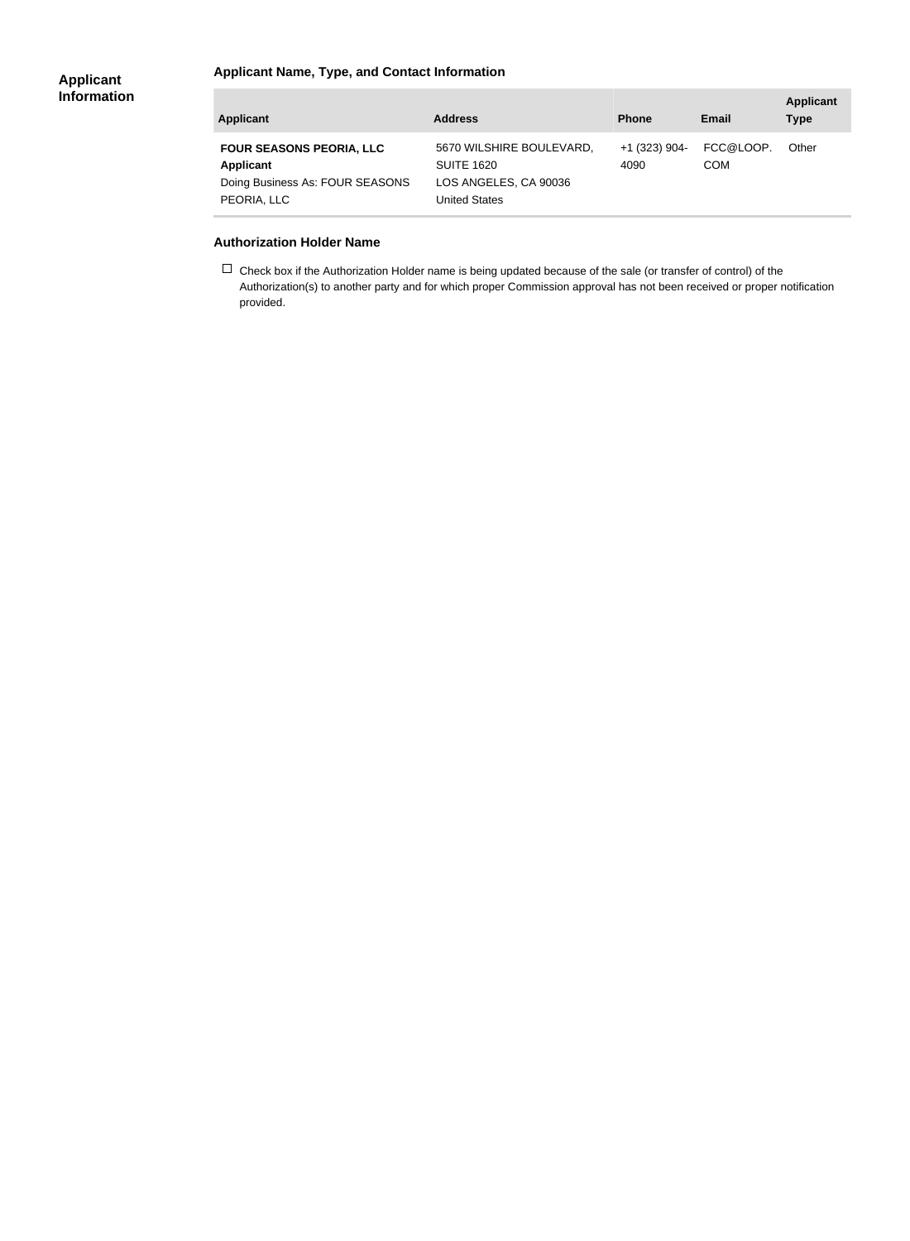### **Applicant Name, Type, and Contact Information**

| <b>Applicant</b>                                                                                      | <b>Address</b>                                                                                 | <b>Phone</b>            | Email                   | <b>Applicant</b><br><b>Type</b> |
|-------------------------------------------------------------------------------------------------------|------------------------------------------------------------------------------------------------|-------------------------|-------------------------|---------------------------------|
| <b>FOUR SEASONS PEORIA, LLC</b><br><b>Applicant</b><br>Doing Business As: FOUR SEASONS<br>PEORIA, LLC | 5670 WILSHIRE BOULEVARD,<br><b>SUITE 1620</b><br>LOS ANGELES, CA 90036<br><b>United States</b> | $+1$ (323) 904-<br>4090 | FCC@LOOP.<br><b>COM</b> | Other                           |

#### **Authorization Holder Name**

 $\Box$  Check box if the Authorization Holder name is being updated because of the sale (or transfer of control) of the Authorization(s) to another party and for which proper Commission approval has not been received or proper notification provided.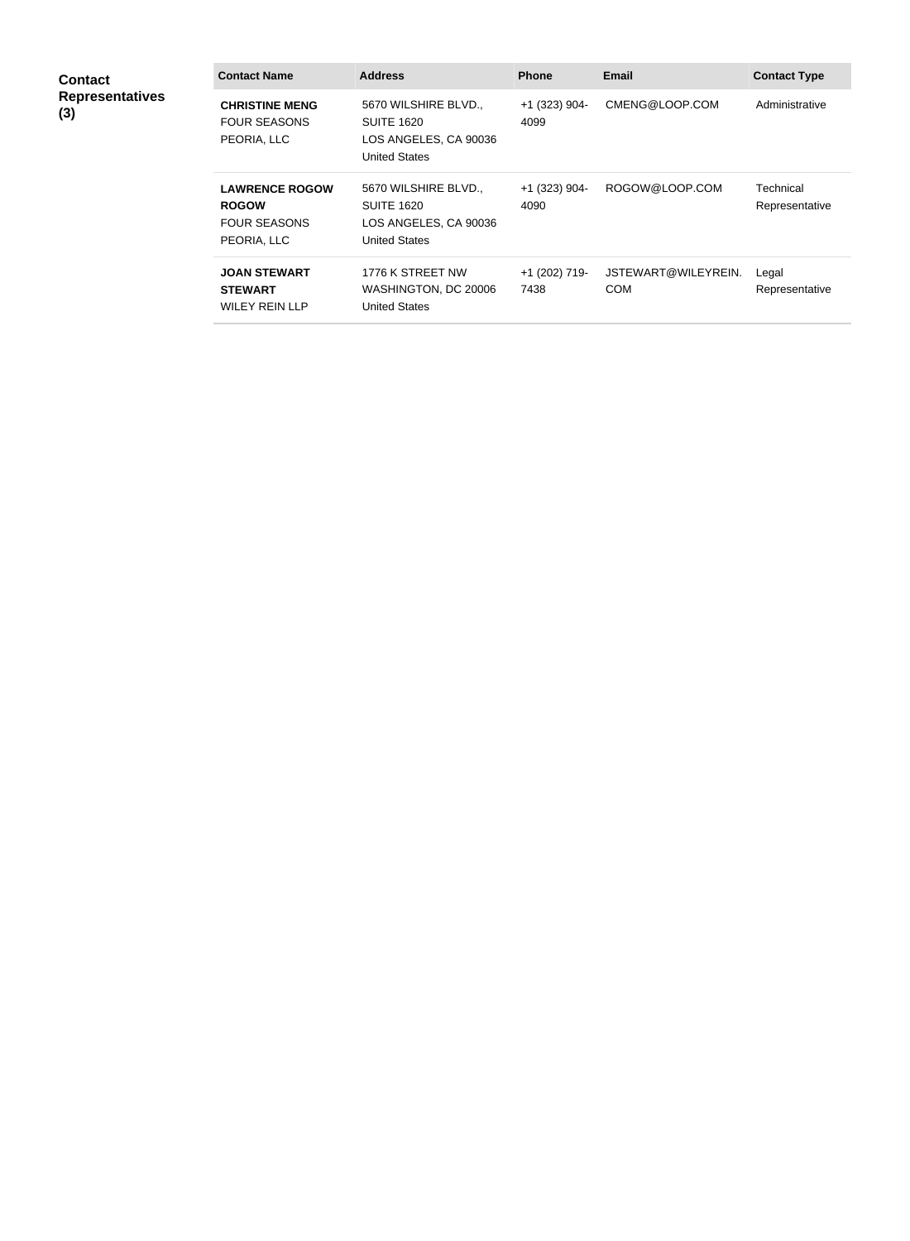| <b>Contact</b><br><b>Representatives</b><br>(3) | <b>Contact Name</b>                                                         | <b>Address</b>                                                                             | <b>Phone</b>          | <b>Email</b>                      | <b>Contact Type</b>         |
|-------------------------------------------------|-----------------------------------------------------------------------------|--------------------------------------------------------------------------------------------|-----------------------|-----------------------------------|-----------------------------|
|                                                 | <b>CHRISTINE MENG</b><br><b>FOUR SEASONS</b><br>PEORIA, LLC                 | 5670 WILSHIRE BLVD.,<br><b>SUITE 1620</b><br>LOS ANGELES, CA 90036<br><b>United States</b> | +1 (323) 904-<br>4099 | CMENG@LOOP.COM                    | Administrative              |
|                                                 | <b>LAWRENCE ROGOW</b><br><b>ROGOW</b><br><b>FOUR SEASONS</b><br>PEORIA, LLC | 5670 WILSHIRE BLVD.,<br><b>SUITE 1620</b><br>LOS ANGELES, CA 90036<br><b>United States</b> | +1 (323) 904-<br>4090 | ROGOW@LOOP.COM                    | Technical<br>Representative |
|                                                 | <b>JOAN STEWART</b><br><b>STEWART</b><br><b>WILEY REIN LLP</b>              | 1776 K STREET NW<br>WASHINGTON, DC 20006<br><b>United States</b>                           | +1 (202) 719-<br>7438 | JSTEWART@WILEYREIN.<br><b>COM</b> | Legal<br>Representative     |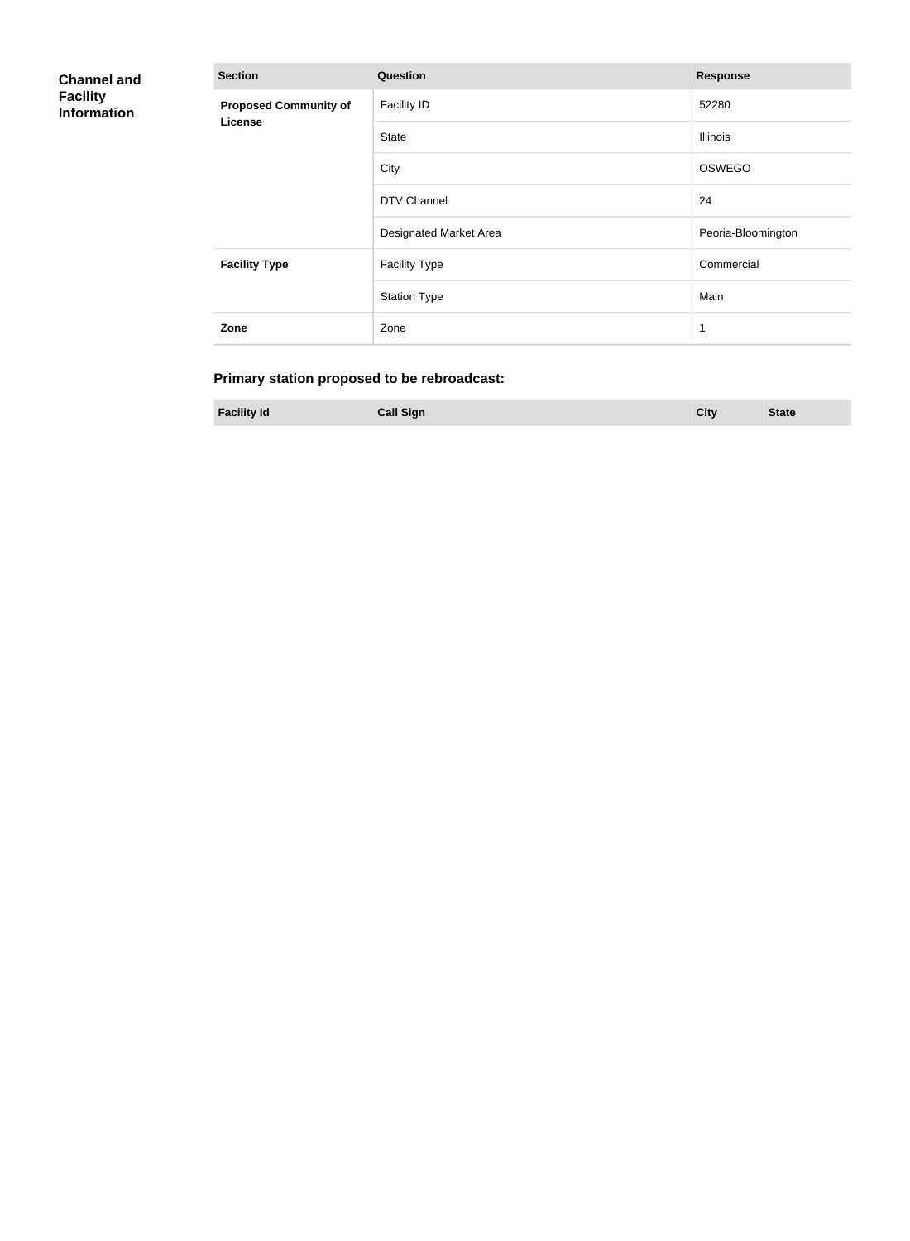| <b>Channel and</b><br><b>Facility</b><br><b>Information</b> | <b>Section</b>                                 | <b>Response</b>        |                    |
|-------------------------------------------------------------|------------------------------------------------|------------------------|--------------------|
|                                                             | <b>Proposed Community of</b><br><b>License</b> | <b>Facility ID</b>     | 52280              |
|                                                             |                                                | <b>State</b>           | Illinois           |
|                                                             |                                                | City                   | OSWEGO             |
|                                                             |                                                | DTV Channel            | 24                 |
|                                                             |                                                | Designated Market Area | Peoria-Bloomington |
|                                                             | <b>Facility Type</b>                           | <b>Facility Type</b>   | Commercial         |
|                                                             |                                                | <b>Station Type</b>    | Main               |
|                                                             | Zone                                           | Zone                   | 1                  |

# **Primary station proposed to be rebroadcast:**

**Facility Id Call Sign City State**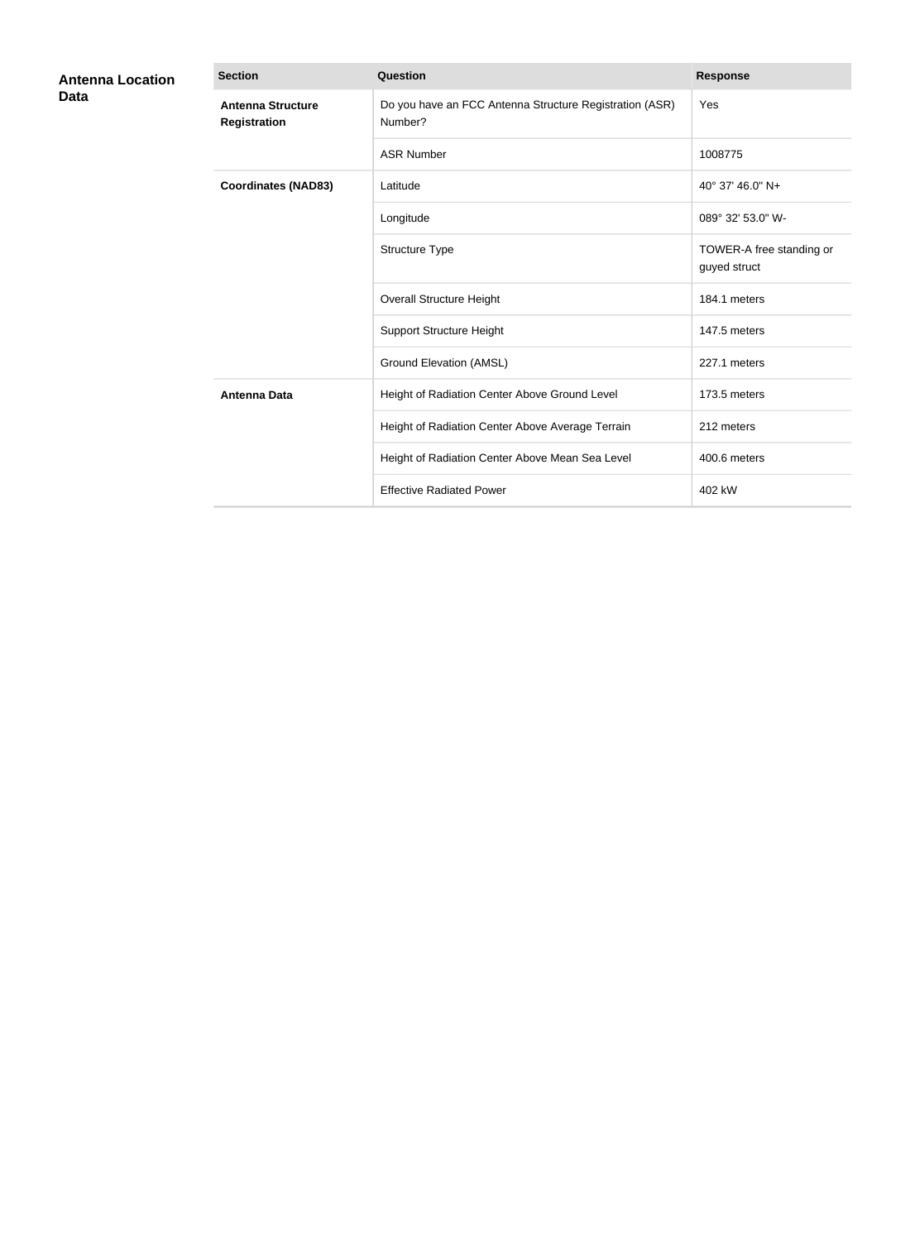| <b>Antenna Location</b><br>Data | <b>Section</b>                                  | <b>Question</b>                                                    | <b>Response</b>                          |
|---------------------------------|-------------------------------------------------|--------------------------------------------------------------------|------------------------------------------|
|                                 | <b>Antenna Structure</b><br><b>Registration</b> | Do you have an FCC Antenna Structure Registration (ASR)<br>Number? | Yes                                      |
|                                 |                                                 | <b>ASR Number</b>                                                  | 1008775                                  |
|                                 | <b>Coordinates (NAD83)</b>                      | Latitude                                                           | 40° 37' 46.0" N+                         |
|                                 |                                                 | Longitude                                                          | 089° 32′ 53.0" W-                        |
|                                 |                                                 | Structure Type                                                     | TOWER-A free standing or<br>guyed struct |
|                                 |                                                 | <b>Overall Structure Height</b>                                    | 184.1 meters                             |
|                                 |                                                 | <b>Support Structure Height</b>                                    | 147.5 meters                             |
|                                 |                                                 | <b>Ground Elevation (AMSL)</b>                                     | 227.1 meters                             |
|                                 | <b>Antenna Data</b>                             | Height of Radiation Center Above Ground Level                      | 173.5 meters                             |
|                                 |                                                 | Height of Radiation Center Above Average Terrain                   | 212 meters                               |
|                                 |                                                 | Height of Radiation Center Above Mean Sea Level                    | 400.6 meters                             |
|                                 |                                                 | <b>Effective Radiated Power</b>                                    | 402 kW                                   |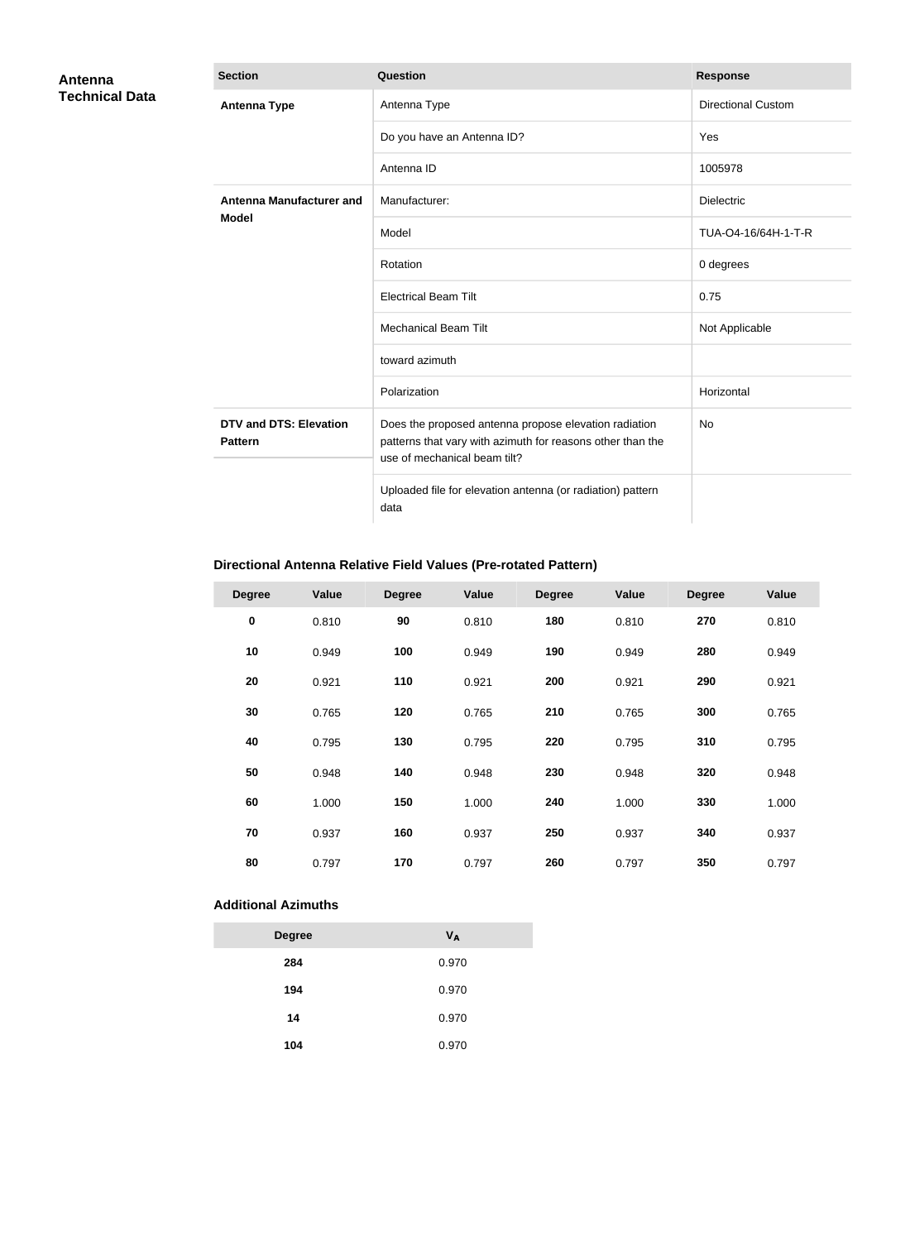| Antenna<br><b>Technical Data</b> | <b>Section</b>                                  | Question                                                                                                                                            | <b>Response</b>           |
|----------------------------------|-------------------------------------------------|-----------------------------------------------------------------------------------------------------------------------------------------------------|---------------------------|
|                                  | <b>Antenna Type</b>                             | Antenna Type                                                                                                                                        | <b>Directional Custom</b> |
|                                  |                                                 | Do you have an Antenna ID?                                                                                                                          | Yes                       |
|                                  |                                                 | Antenna ID                                                                                                                                          | 1005978                   |
|                                  | <b>Antenna Manufacturer and</b>                 | Manufacturer:                                                                                                                                       | <b>Dielectric</b>         |
|                                  | <b>Model</b>                                    | Model                                                                                                                                               | TUA-O4-16/64H-1-T-R       |
|                                  |                                                 | Rotation                                                                                                                                            | 0 degrees                 |
|                                  |                                                 | <b>Electrical Beam Tilt</b>                                                                                                                         | 0.75                      |
|                                  |                                                 | <b>Mechanical Beam Tilt</b>                                                                                                                         | Not Applicable            |
|                                  |                                                 | toward azimuth                                                                                                                                      |                           |
|                                  |                                                 | Polarization                                                                                                                                        | Horizontal                |
|                                  | <b>DTV and DTS: Elevation</b><br><b>Pattern</b> | Does the proposed antenna propose elevation radiation<br>patterns that vary with azimuth for reasons other than the<br>use of mechanical beam tilt? | <b>No</b>                 |
|                                  |                                                 | Uploaded file for elevation antenna (or radiation) pattern<br>data                                                                                  |                           |

## **Directional Antenna Relative Field Values (Pre-rotated Pattern)**

| <b>Degree</b> | Value | <b>Degree</b> | Value | <b>Degree</b> | Value | <b>Degree</b> | Value |
|---------------|-------|---------------|-------|---------------|-------|---------------|-------|
| $\pmb{0}$     | 0.810 | 90            | 0.810 | 180           | 0.810 | 270           | 0.810 |
| 10            | 0.949 | 100           | 0.949 | 190           | 0.949 | 280           | 0.949 |
| 20            | 0.921 | 110           | 0.921 | 200           | 0.921 | 290           | 0.921 |
| 30            | 0.765 | 120           | 0.765 | 210           | 0.765 | 300           | 0.765 |
| 40            | 0.795 | 130           | 0.795 | 220           | 0.795 | 310           | 0.795 |
| 50            | 0.948 | 140           | 0.948 | 230           | 0.948 | 320           | 0.948 |
| 60            | 1.000 | 150           | 1.000 | 240           | 1.000 | 330           | 1.000 |
| 70            | 0.937 | 160           | 0.937 | 250           | 0.937 | 340           | 0.937 |
| 80            | 0.797 | 170           | 0.797 | 260           | 0.797 | 350           | 0.797 |

#### **Additional Azimuths**

| <b>Degree</b> | V <sub>A</sub> |
|---------------|----------------|
| 284           | 0.970          |
| 194           | 0.970          |
| 14            | 0.970          |
| 104           | 0.970          |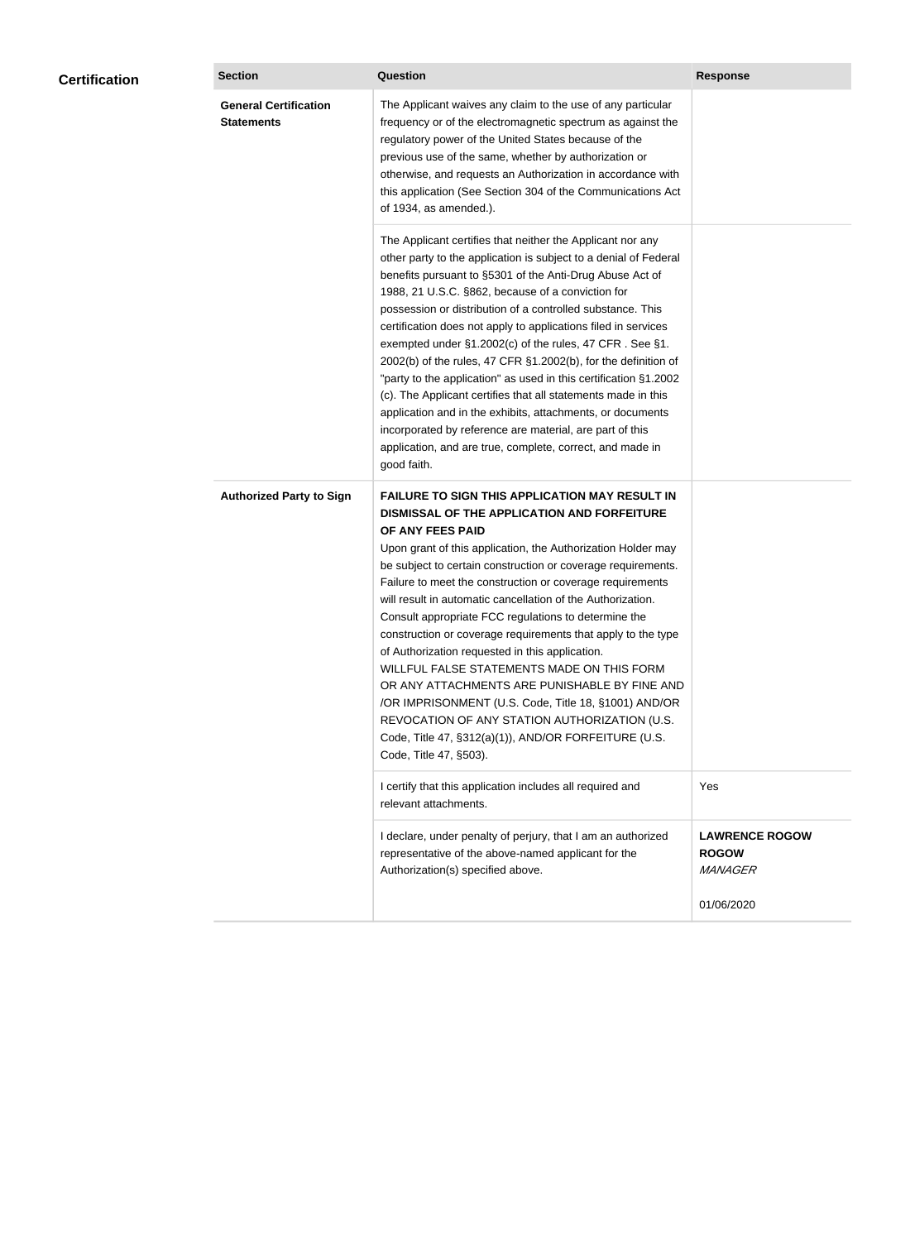| <b>Certification</b> | <b>Section</b>                                    | Question                                                                                                                                                                                                                                                                                                                                                                                                                                                                                                                                                                                                                                                                                                                                                                                                                                                  | <b>Response</b>                                  |
|----------------------|---------------------------------------------------|-----------------------------------------------------------------------------------------------------------------------------------------------------------------------------------------------------------------------------------------------------------------------------------------------------------------------------------------------------------------------------------------------------------------------------------------------------------------------------------------------------------------------------------------------------------------------------------------------------------------------------------------------------------------------------------------------------------------------------------------------------------------------------------------------------------------------------------------------------------|--------------------------------------------------|
|                      | <b>General Certification</b><br><b>Statements</b> | The Applicant waives any claim to the use of any particular<br>frequency or of the electromagnetic spectrum as against the<br>regulatory power of the United States because of the<br>previous use of the same, whether by authorization or<br>otherwise, and requests an Authorization in accordance with<br>this application (See Section 304 of the Communications Act<br>of 1934, as amended.).                                                                                                                                                                                                                                                                                                                                                                                                                                                       |                                                  |
|                      |                                                   | The Applicant certifies that neither the Applicant nor any<br>other party to the application is subject to a denial of Federal<br>benefits pursuant to §5301 of the Anti-Drug Abuse Act of<br>1988, 21 U.S.C. §862, because of a conviction for<br>possession or distribution of a controlled substance. This<br>certification does not apply to applications filed in services<br>exempted under §1.2002(c) of the rules, 47 CFR. See §1.<br>2002(b) of the rules, 47 CFR §1.2002(b), for the definition of<br>"party to the application" as used in this certification §1.2002<br>(c). The Applicant certifies that all statements made in this<br>application and in the exhibits, attachments, or documents<br>incorporated by reference are material, are part of this<br>application, and are true, complete, correct, and made in<br>good faith.   |                                                  |
|                      | <b>Authorized Party to Sign</b>                   | <b>FAILURE TO SIGN THIS APPLICATION MAY RESULT IN</b><br>DISMISSAL OF THE APPLICATION AND FORFEITURE<br>OF ANY FEES PAID<br>Upon grant of this application, the Authorization Holder may<br>be subject to certain construction or coverage requirements.<br>Failure to meet the construction or coverage requirements<br>will result in automatic cancellation of the Authorization.<br>Consult appropriate FCC regulations to determine the<br>construction or coverage requirements that apply to the type<br>of Authorization requested in this application.<br>WILLFUL FALSE STATEMENTS MADE ON THIS FORM<br>OR ANY ATTACHMENTS ARE PUNISHABLE BY FINE AND<br>/OR IMPRISONMENT (U.S. Code, Title 18, §1001) AND/OR<br>REVOCATION OF ANY STATION AUTHORIZATION (U.S.<br>Code, Title 47, §312(a)(1)), AND/OR FORFEITURE (U.S.<br>Code, Title 47, §503). |                                                  |
|                      |                                                   | I certify that this application includes all required and<br>relevant attachments.                                                                                                                                                                                                                                                                                                                                                                                                                                                                                                                                                                                                                                                                                                                                                                        | Yes                                              |
|                      |                                                   | I declare, under penalty of perjury, that I am an authorized<br>representative of the above-named applicant for the<br>Authorization(s) specified above.                                                                                                                                                                                                                                                                                                                                                                                                                                                                                                                                                                                                                                                                                                  | <b>LAWRENCE ROGOW</b><br><b>ROGOW</b><br>MANAGER |
|                      |                                                   |                                                                                                                                                                                                                                                                                                                                                                                                                                                                                                                                                                                                                                                                                                                                                                                                                                                           | 01/06/2020                                       |